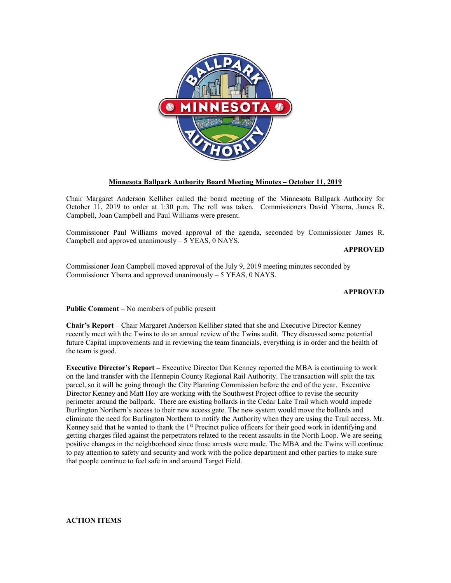

# **Minnesota Ballpark Authority Board Meeting Minutes – October 11, 2019**

Chair Margaret Anderson Kelliher called the board meeting of the Minnesota Ballpark Authority for October 11, 2019 to order at 1:30 p.m. The roll was taken. Commissioners David Ybarra, James R. Campbell, Joan Campbell and Paul Williams were present.

Commissioner Paul Williams moved approval of the agenda, seconded by Commissioner James R. Campbell and approved unanimously  $-5$  YEAS, 0 NAYS.

**APPROVED**

Commissioner Joan Campbell moved approval of the July 9, 2019 meeting minutes seconded by Commissioner Ybarra and approved unanimously – 5 YEAS, 0 NAYS.

# **APPROVED**

**Public Comment –** No members of public present

**Chair's Report –** Chair Margaret Anderson Kelliher stated that she and Executive Director Kenney recently meet with the Twins to do an annual review of the Twins audit. They discussed some potential future Capital improvements and in reviewing the team financials, everything is in order and the health of the team is good.

**Executive Director's Report –** Executive Director Dan Kenney reported the MBA is continuing to work on the land transfer with the Hennepin County Regional Rail Authority. The transaction will split the tax parcel, so it will be going through the City Planning Commission before the end of the year. Executive Director Kenney and Matt Hoy are working with the Southwest Project office to revise the security perimeter around the ballpark. There are existing bollards in the Cedar Lake Trail which would impede Burlington Northern's access to their new access gate. The new system would move the bollards and eliminate the need for Burlington Northern to notify the Authority when they are using the Trail access. Mr. Kenney said that he wanted to thank the 1<sup>st</sup> Precinct police officers for their good work in identifying and getting charges filed against the perpetrators related to the recent assaults in the North Loop. We are seeing positive changes in the neighborhood since those arrests were made. The MBA and the Twins will continue to pay attention to safety and security and work with the police department and other parties to make sure that people continue to feel safe in and around Target Field.

# **ACTION ITEMS**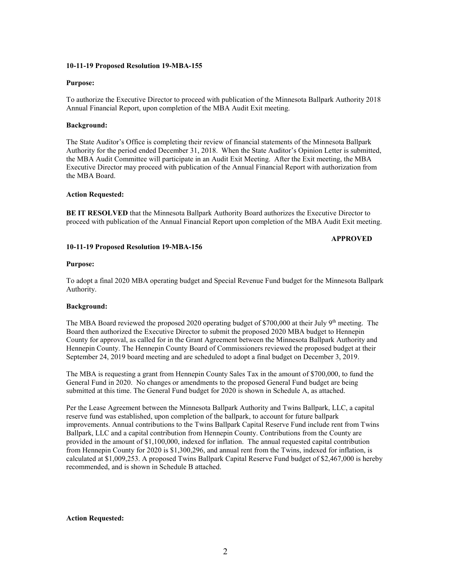### **10-11-19 Proposed Resolution 19-MBA-155**

### **Purpose:**

To authorize the Executive Director to proceed with publication of the Minnesota Ballpark Authority 2018 Annual Financial Report, upon completion of the MBA Audit Exit meeting.

# **Background:**

The State Auditor's Office is completing their review of financial statements of the Minnesota Ballpark Authority for the period ended December 31, 2018. When the State Auditor's Opinion Letter is submitted, the MBA Audit Committee will participate in an Audit Exit Meeting. After the Exit meeting, the MBA Executive Director may proceed with publication of the Annual Financial Report with authorization from the MBA Board.

# **Action Requested:**

**BE IT RESOLVED** that the Minnesota Ballpark Authority Board authorizes the Executive Director to proceed with publication of the Annual Financial Report upon completion of the MBA Audit Exit meeting.

#### **APPROVED**

### **10-11-19 Proposed Resolution 19-MBA-156**

#### **Purpose:**

To adopt a final 2020 MBA operating budget and Special Revenue Fund budget for the Minnesota Ballpark Authority.

### **Background:**

The MBA Board reviewed the proposed 2020 operating budget of \$700,000 at their July 9<sup>th</sup> meeting. The Board then authorized the Executive Director to submit the proposed 2020 MBA budget to Hennepin County for approval, as called for in the Grant Agreement between the Minnesota Ballpark Authority and Hennepin County. The Hennepin County Board of Commissioners reviewed the proposed budget at their September 24, 2019 board meeting and are scheduled to adopt a final budget on December 3, 2019.

The MBA is requesting a grant from Hennepin County Sales Tax in the amount of \$700,000, to fund the General Fund in 2020. No changes or amendments to the proposed General Fund budget are being submitted at this time. The General Fund budget for 2020 is shown in Schedule A, as attached.

Per the Lease Agreement between the Minnesota Ballpark Authority and Twins Ballpark, LLC, a capital reserve fund was established, upon completion of the ballpark, to account for future ballpark improvements. Annual contributions to the Twins Ballpark Capital Reserve Fund include rent from Twins Ballpark, LLC and a capital contribution from Hennepin County. Contributions from the County are provided in the amount of \$1,100,000, indexed for inflation. The annual requested capital contribution from Hennepin County for 2020 is \$1,300,296, and annual rent from the Twins, indexed for inflation, is calculated at \$1,009,253. A proposed Twins Ballpark Capital Reserve Fund budget of \$2,467,000 is hereby recommended, and is shown in Schedule B attached.

### **Action Requested:**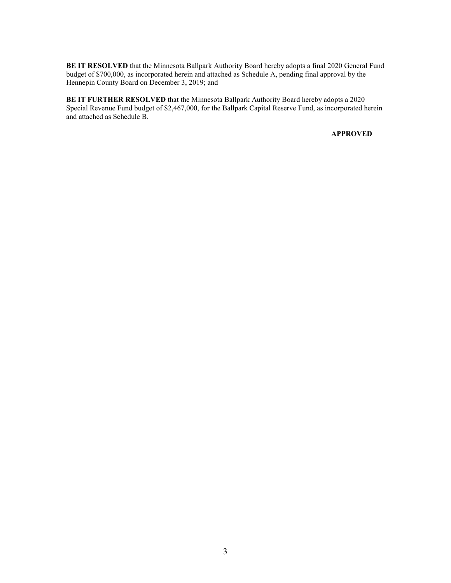**BE IT RESOLVED** that the Minnesota Ballpark Authority Board hereby adopts a final 2020 General Fund budget of \$700,000, as incorporated herein and attached as Schedule A, pending final approval by the Hennepin County Board on December 3, 2019; and

**BE IT FURTHER RESOLVED** that the Minnesota Ballpark Authority Board hereby adopts a 2020 Special Revenue Fund budget of \$2,467,000, for the Ballpark Capital Reserve Fund, as incorporated herein and attached as Schedule B.

# **APPROVED**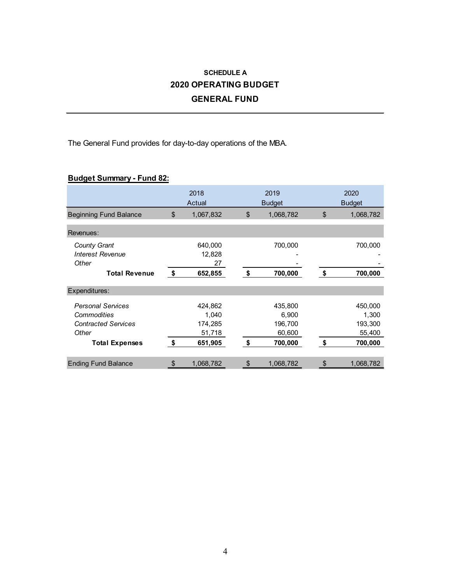# **SCHEDULE A 2020 OPERATING BUDGET GENERAL FUND**

The General Fund provides for day-to-day operations of the MBA.

# **Budget Summary - Fund 82:**

|                                                                                                         | 2018<br>Actual                                         | 2019<br><b>Budget</b>                                  | 2020<br><b>Budget</b>                                  |  |  |
|---------------------------------------------------------------------------------------------------------|--------------------------------------------------------|--------------------------------------------------------|--------------------------------------------------------|--|--|
| <b>Beginning Fund Balance</b>                                                                           | \$<br>1,067,832                                        | \$<br>1,068,782                                        | \$<br>1,068,782                                        |  |  |
| Revenues:                                                                                               |                                                        |                                                        |                                                        |  |  |
| <b>County Grant</b><br><b>Interest Revenue</b><br>Other                                                 | 640,000<br>12,828<br>27                                | 700,000                                                | 700,000                                                |  |  |
| <b>Total Revenue</b>                                                                                    | \$<br>652,855                                          | \$<br>700,000                                          | \$<br>700,000                                          |  |  |
| Expenditures:                                                                                           |                                                        |                                                        |                                                        |  |  |
| <b>Personal Services</b><br>Commodities<br><b>Contracted Services</b><br>Other<br><b>Total Expenses</b> | \$<br>424,862<br>1,040<br>174,285<br>51,718<br>651,905 | \$<br>435,800<br>6,900<br>196,700<br>60,600<br>700,000 | \$<br>450,000<br>1,300<br>193,300<br>55,400<br>700,000 |  |  |
| <b>Ending Fund Balance</b>                                                                              | \$<br>1,068,782                                        | \$<br>1,068,782                                        | \$<br>1,068,782                                        |  |  |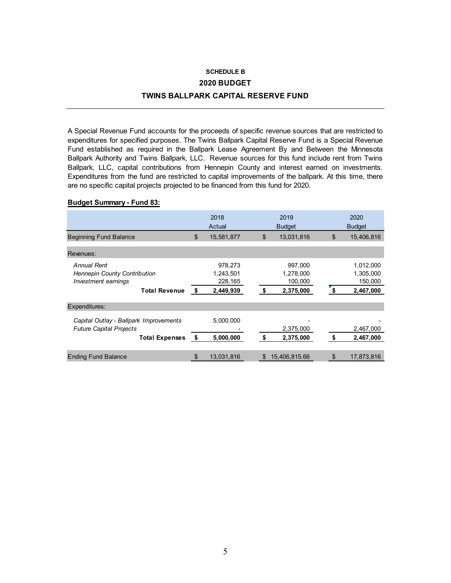# **SCHEDULE B 2020 BUDGET TWINS BALLPARK CAPITAL RESERVE FUND**

A Special Revenue Fund accounts for the proceeds of specific revenue sources that are restricted to expenditures for specified purposes. The Twins Ballpark Capital Reserve Fund is a Special Revenue Fund established as required in the Ballpark Lease Agreement By and Between the Minnesota Ballpark Authority and Twins Ballpark, LLC. Revenue sources for this fund include rent from Twins Ballpark, LLC, capital contributions from Hennepin County and interest earned on investments. Expenditures from the fund are restricted to capital improvements of the ballpark. At this time, there are no specific capital projects projected to be financed from this fund for 2020.

# **Budget Summary - Fund 83:**

|                                                                                                          | 2018<br>Actual                                     | 2019<br><b>Budget</b>                              |                | 2020<br><b>Budget</b>                          |
|----------------------------------------------------------------------------------------------------------|----------------------------------------------------|----------------------------------------------------|----------------|------------------------------------------------|
| <b>Beginning Fund Balance</b>                                                                            | \$<br>15,581,877                                   | \$<br>13,031,816                                   | $\mathfrak{L}$ | 15,406,816                                     |
| Revenues:                                                                                                |                                                    |                                                    |                |                                                |
| <b>Annual Rent</b><br><b>Hennepin County Contribution</b><br>Investment earnings<br><b>Total Revenue</b> | \$<br>978,273<br>1,243,501<br>228,165<br>2,449,939 | \$<br>997,000<br>1,278,000<br>100,000<br>2,375,000 |                | 1,012,000<br>1,305,000<br>150,000<br>2,467,000 |
| Expenditures:                                                                                            |                                                    |                                                    |                |                                                |
| Capital Outlay - Ballpark Improvements<br><b>Future Capital Projects</b><br><b>Total Expenses</b>        | \$<br>5,000,000<br>5,000,000                       | \$<br>2,375,000<br>2,375,000                       | \$             | 2,467,000<br>2,467,000                         |
| <b>Ending Fund Balance</b>                                                                               | \$<br>13,031,816                                   | \$<br>15,406,815.66                                | \$             | 17,873,816                                     |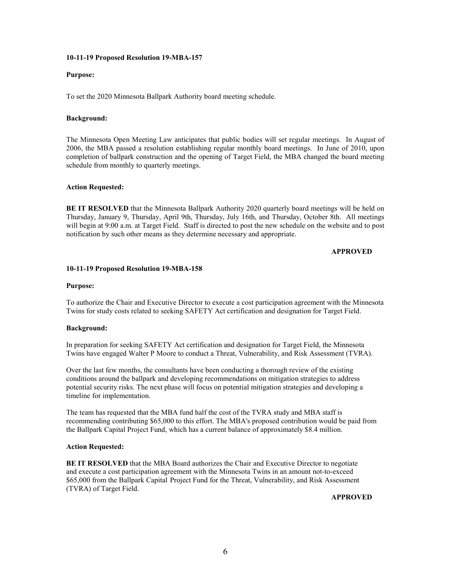### **10-11-19 Proposed Resolution 19-MBA-157**

### **Purpose:**

To set the 2020 Minnesota Ballpark Authority board meeting schedule.

# **Background:**

The Minnesota Open Meeting Law anticipates that public bodies will set regular meetings. In August of 2006, the MBA passed a resolution establishing regular monthly board meetings. In June of 2010, upon completion of ballpark construction and the opening of Target Field, the MBA changed the board meeting schedule from monthly to quarterly meetings.

# **Action Requested:**

**BE IT RESOLVED** that the Minnesota Ballpark Authority 2020 quarterly board meetings will be held on Thursday, January 9, Thursday, April 9th, Thursday, July 16th, and Thursday, October 8th. All meetings will begin at 9:00 a.m. at Target Field. Staff is directed to post the new schedule on the website and to post notification by such other means as they determine necessary and appropriate.

# **APPROVED**

# **10-11-19 Proposed Resolution 19-MBA-158**

# **Purpose:**

To authorize the Chair and Executive Director to execute a cost participation agreement with the Minnesota Twins for study costs related to seeking SAFETY Act certification and designation for Target Field.

### **Background:**

In preparation for seeking SAFETY Act certification and designation for Target Field, the Minnesota Twins have engaged Walter P Moore to conduct a Threat, Vulnerability, and Risk Assessment (TVRA).

Over the last few months, the consultants have been conducting a thorough review of the existing conditions around the ballpark and developing recommendations on mitigation strategies to address potential security risks. The next phase will focus on potential mitigation strategies and developing a timeline for implementation.

The team has requested that the MBA fund half the cost of the TVRA study and MBA staff is recommending contributing \$65,000 to this effort. The MBA's proposed contribution would be paid from the Ballpark Capital Project Fund, which has a current balance of approximately \$8.4 million.

### **Action Requested:**

**BE IT RESOLVED** that the MBA Board authorizes the Chair and Executive Director to negotiate and execute a cost participation agreement with the Minnesota Twins in an amount not-to-exceed \$65,000 from the Ballpark Capital Project Fund for the Threat, Vulnerability, and Risk Assessment (TVRA) of Target Field.

**APPROVED**